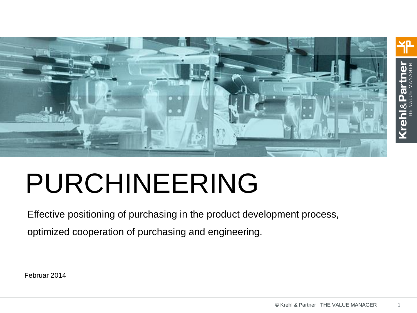

# PURCHINEERING

Effective positioning of purchasing in the product development process, optimized cooperation of purchasing and engineering.

Februar 2014

1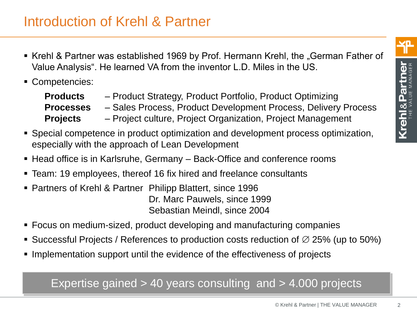- Krehl & Partner was established 1969 by Prof. Hermann Krehl, the "German Father of Value Analysis". He learned VA from the inventor L.D. Miles in the US.
- Competencies:

| <b>Products</b>  | - Product Strategy, Product Portfolio, Product Optimizing      |
|------------------|----------------------------------------------------------------|
| <b>Processes</b> | - Sales Process, Product Development Process, Delivery Process |
| <b>Projects</b>  | - Project culture, Project Organization, Project Management    |

- Special competence in product optimization and development process optimization, especially with the approach of Lean Development
- Head office is in Karlsruhe, Germany Back-Office and conference rooms
- Team: 19 employees, thereof 16 fix hired and freelance consultants
- Partners of Krehl & Partner Philipp Blattert, since 1996 Dr. Marc Pauwels, since 1999 Sebastian Meindl, since 2004
- Focus on medium-sized, product developing and manufacturing companies
- Successful Projects / References to production costs reduction of  $\varnothing$  25% (up to 50%)
- Implementation support until the evidence of the effectiveness of projects

#### Expertise gained > 40 years consulting and > 4.000 projects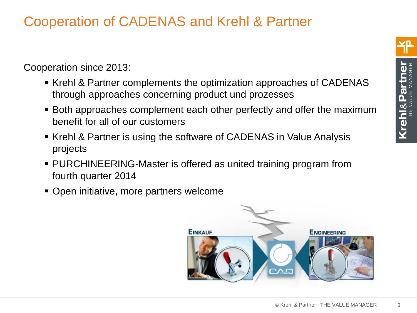Cooperation since 2013:

- Krehl & Partner complements the optimization approaches of CADENAS through approaches concerning product und prozesses
- Both approaches complement each other perfectly and offer the maximum benefit for all of our customers
- Krehl & Partner is using the software of CADENAS in Value Analysis projects
- PURCHINEERING-Master is offered as united training program from fourth quarter 2014
- Open initiative, more partners welcome





3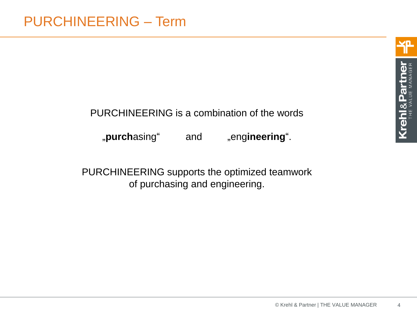#### PURCHINEERING is a combination of the words

"purchasing" and "engineering".

PURCHINEERING supports the optimized teamwork of purchasing and engineering.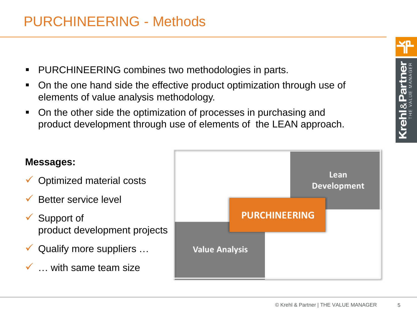## PURCHINEERING - Methods

- PURCHINEERING combines two methodologies in parts.
- On the one hand side the effective product optimization through use of elements of value analysis methodology.
- On the other side the optimization of processes in purchasing and product development through use of elements of the LEAN approach.



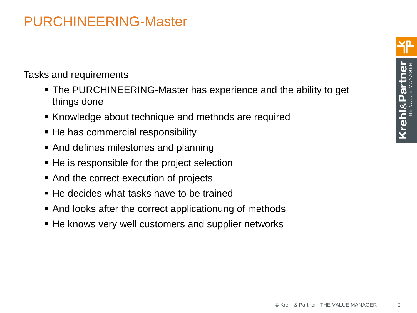#### Tasks and requirements

- The PURCHINEERING-Master has experience and the ability to get things done
- Knowledge about technique and methods are required
- He has commercial responsibility
- And defines milestones and planning
- He is responsible for the project selection
- And the correct execution of projects
- He decides what tasks have to be trained
- And looks after the correct applicationung of methods
- He knows very well customers and supplier networks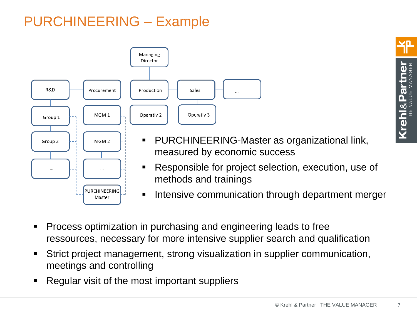# PURCHINEERING – Example



- Process optimization in purchasing and engineering leads to free ressources, necessary for more intensive supplier search and qualification
- Strict project management, strong visualization in supplier communication, meetings and controlling
- Regular visit of the most important suppliers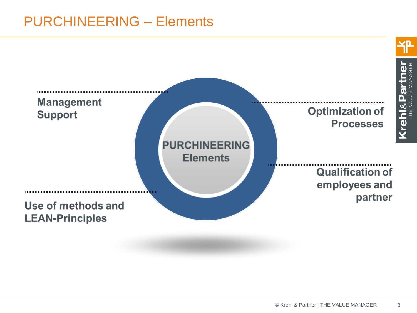# PURCHINEERING – Elements

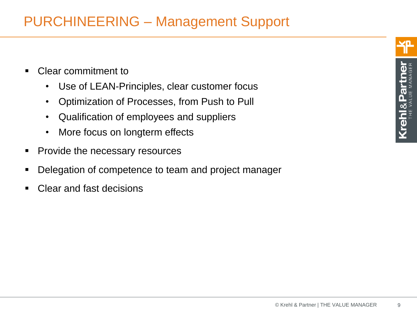# PURCHINEERING – Management Support

- Clear commitment to
	- Use of LEAN-Principles, clear customer focus
	- Optimization of Processes, from Push to Pull
	- Qualification of employees and suppliers
	- More focus on longterm effects
- **Provide the necessary resources**
- Delegation of competence to team and project manager
- Clear and fast decisions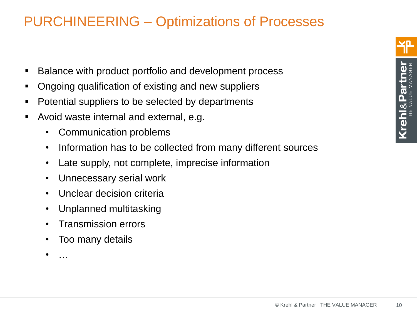- Balance with product portfolio and development process
- Ongoing qualification of existing and new suppliers
- Potential suppliers to be selected by departments
- Avoid waste internal and external, e.g.
	- Communication problems
	- Information has to be collected from many different sources
	- Late supply, not complete, imprecise information
	- Unnecessary serial work
	- Unclear decision criteria
	- Unplanned multitasking
	- Transmission errors
	- Too many details

• …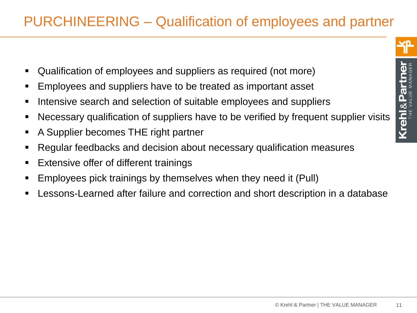# PURCHINEERING – Qualification of employees and partner

- Qualification of employees and suppliers as required (not more)
- Employees and suppliers have to be treated as important asset
- **IF Intensive search and selection of suitable employees and suppliers**
- Necessary qualification of suppliers have to be verified by frequent supplier visits
- A Supplier becomes THE right partner
- Regular feedbacks and decision about necessary qualification measures
- **Extensive offer of different trainings**
- Employees pick trainings by themselves when they need it (Pull)
- Lessons-Learned after failure and correction and short description in a database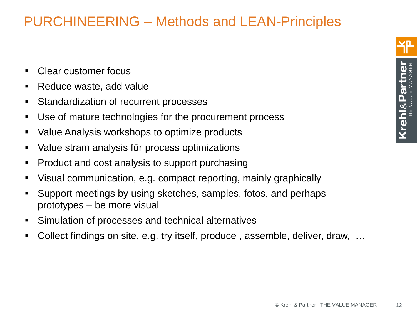- Clear customer focus
- Reduce waste, add value
- **Standardization of recurrent processes**
- Use of mature technologies for the procurement process
- Value Analysis workshops to optimize products
- Value stram analysis für process optimizations
- Product and cost analysis to support purchasing
- Visual communication, e.g. compact reporting, mainly graphically
- Support meetings by using sketches, samples, fotos, and perhaps prototypes – be more visual
- Simulation of processes and technical alternatives
- Collect findings on site, e.g. try itself, produce , assemble, deliver, draw, …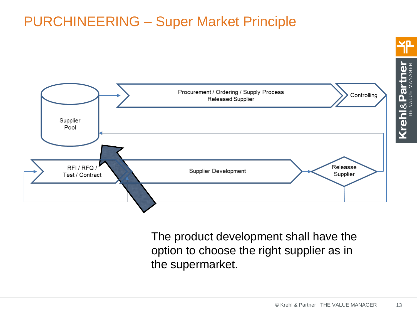# PURCHINEERING – Super Market Principle



The product development shall have the option to choose the right supplier as in the supermarket.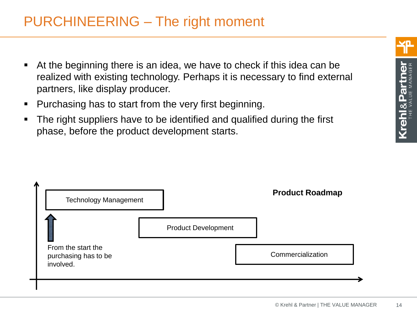- At the beginning there is an idea, we have to check if this idea can be realized with existing technology. Perhaps it is necessary to find external partners, like display producer.
- Purchasing has to start from the very first beginning.
- The right suppliers have to be identified and qualified during the first phase, before the product development starts.

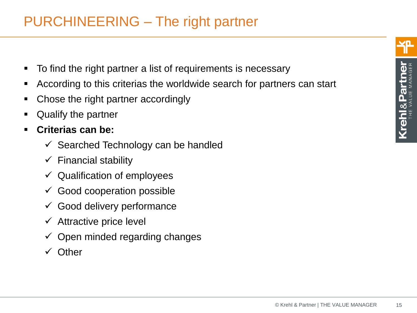- To find the right partner a list of requirements is necessary
- According to this criterias the worldwide search for partners can start
- Chose the right partner accordingly
- **Example 2** Qualify the partner
- **Criterias can be:**
	- $\checkmark$  Searched Technology can be handled
	- $\checkmark$  Financial stability
	- $\checkmark$  Qualification of employees
	- $\checkmark$  Good cooperation possible
	- $\checkmark$  Good delivery performance
	- $\checkmark$  Attractive price level
	- $\checkmark$  Open minded regarding changes
	- $\checkmark$  Other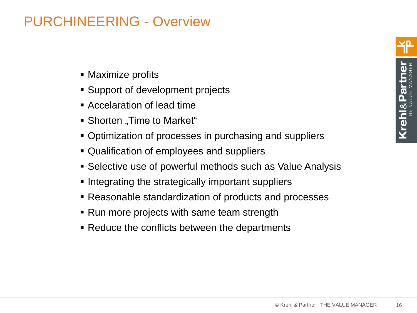## PURCHINEERING - Overview

- Maximize profits
- Support of development projects
- Accelaration of lead time
- Shorten "Time to Market"
- Optimization of processes in purchasing and suppliers
- Qualification of employees and suppliers
- Selective use of powerful methods such as Value Analysis
- **Integrating the strategically important suppliers**
- Reasonable standardization of products and processes
- Run more projects with same team strength
- Reduce the conflicts between the departments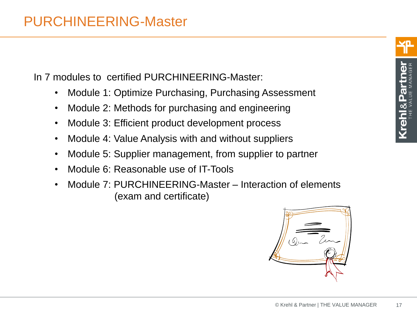In 7 modules to certified PURCHINEERING-Master:

- Module 1: Optimize Purchasing, Purchasing Assessment
- Module 2: Methods for purchasing and engineering
- Module 3: Efficient product development process
- Module 4: Value Analysis with and without suppliers
- Module 5: Supplier management, from supplier to partner
- Module 6: Reasonable use of IT-Tools
- Module 7: PURCHINEERING-Master Interaction of elements (exam and certificate)

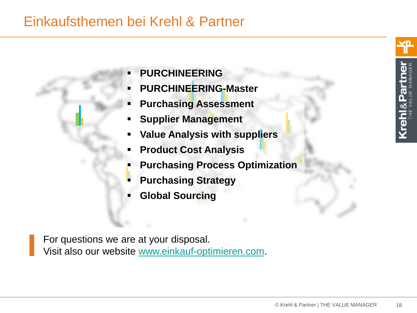## Einkaufsthemen bei Krehl & Partner

<u>(rehi&P</u>

- **PURCHINEERING**
- **PURCHINEERING-Master**
- **Purchasing Assessment**
- **Supplier Management**
- **Value Analysis with suppliers**
- **Product Cost Analysis**
- **Purchasing Process Optimization**
- **Purchasing Strategy**
- **Global Sourcing**

For questions we are at your disposal. Visit also our website [www.einkauf-optimieren.com](http://www.einkauf-optimieren.com/).